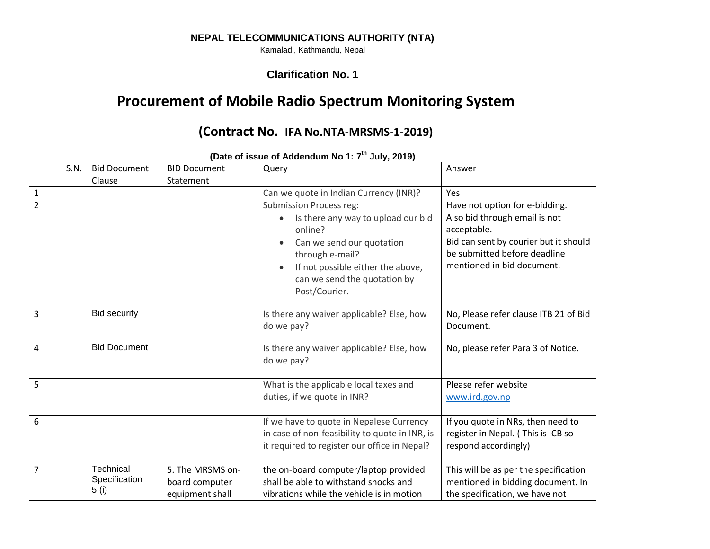## **NEPAL TELECOMMUNICATIONS AUTHORITY (NTA)**

Kamaladi, Kathmandu, Nepal

## **Clarification No. 1**

## **Procurement of Mobile Radio Spectrum Monitoring System**

## **(Contract No. IFA No.NTA-MRSMS-1-2019)**

| S.N.           | <b>Bid Document</b><br>Clause              | <b>BID Document</b><br>Statement                      | Query                                                                                                                                                                                                                 | Answer                                                                                                                                                                                |
|----------------|--------------------------------------------|-------------------------------------------------------|-----------------------------------------------------------------------------------------------------------------------------------------------------------------------------------------------------------------------|---------------------------------------------------------------------------------------------------------------------------------------------------------------------------------------|
| $\mathbf{1}$   |                                            |                                                       | Can we quote in Indian Currency (INR)?                                                                                                                                                                                | <b>Yes</b>                                                                                                                                                                            |
| $\overline{2}$ |                                            |                                                       | <b>Submission Process reg:</b><br>Is there any way to upload our bid<br>online?<br>Can we send our quotation<br>through e-mail?<br>If not possible either the above,<br>can we send the quotation by<br>Post/Courier. | Have not option for e-bidding.<br>Also bid through email is not<br>acceptable.<br>Bid can sent by courier but it should<br>be submitted before deadline<br>mentioned in bid document. |
| $\overline{3}$ | <b>Bid security</b>                        |                                                       | Is there any waiver applicable? Else, how<br>do we pay?                                                                                                                                                               | No, Please refer clause ITB 21 of Bid<br>Document.                                                                                                                                    |
| $\overline{4}$ | <b>Bid Document</b>                        |                                                       | Is there any waiver applicable? Else, how<br>do we pay?                                                                                                                                                               | No, please refer Para 3 of Notice.                                                                                                                                                    |
| 5              |                                            |                                                       | What is the applicable local taxes and<br>duties, if we quote in INR?                                                                                                                                                 | Please refer website<br>www.ird.gov.np                                                                                                                                                |
| 6              |                                            |                                                       | If we have to quote in Nepalese Currency<br>in case of non-feasibility to quote in INR, is<br>it required to register our office in Nepal?                                                                            | If you quote in NRs, then need to<br>register in Nepal. (This is ICB so<br>respond accordingly)                                                                                       |
| $\overline{7}$ | <b>Technical</b><br>Specification<br>5 (i) | 5. The MRSMS on-<br>board computer<br>equipment shall | the on-board computer/laptop provided<br>shall be able to withstand shocks and<br>vibrations while the vehicle is in motion                                                                                           | This will be as per the specification<br>mentioned in bidding document. In<br>the specification, we have not                                                                          |

**(Date of issue of Addendum No 1: 7 th July, 2019)**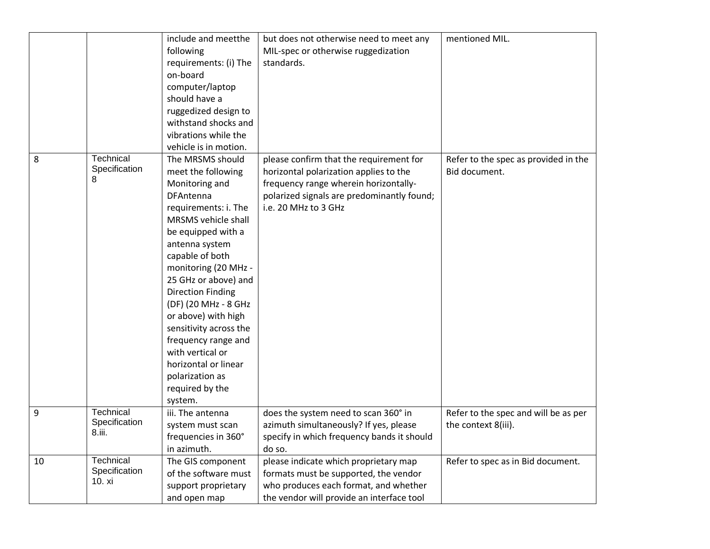|    |                                      | include and meetthe<br>following<br>requirements: (i) The<br>on-board<br>computer/laptop<br>should have a<br>ruggedized design to<br>withstand shocks and<br>vibrations while the                                                                                                                                                                                                                                                                                                 | but does not otherwise need to meet any<br>MIL-spec or otherwise ruggedization<br>standards.                                                                                                     | mentioned MIL.                                              |
|----|--------------------------------------|-----------------------------------------------------------------------------------------------------------------------------------------------------------------------------------------------------------------------------------------------------------------------------------------------------------------------------------------------------------------------------------------------------------------------------------------------------------------------------------|--------------------------------------------------------------------------------------------------------------------------------------------------------------------------------------------------|-------------------------------------------------------------|
| 8  | Technical<br>Specification<br>8      | vehicle is in motion.<br>The MRSMS should<br>meet the following<br>Monitoring and<br>DFAntenna<br>requirements: i. The<br>MRSMS vehicle shall<br>be equipped with a<br>antenna system<br>capable of both<br>monitoring (20 MHz -<br>25 GHz or above) and<br><b>Direction Finding</b><br>(DF) (20 MHz - 8 GHz<br>or above) with high<br>sensitivity across the<br>frequency range and<br>with vertical or<br>horizontal or linear<br>polarization as<br>required by the<br>system. | please confirm that the requirement for<br>horizontal polarization applies to the<br>frequency range wherein horizontally-<br>polarized signals are predominantly found;<br>i.e. 20 MHz to 3 GHz | Refer to the spec as provided in the<br>Bid document.       |
| 9  | Technical<br>Specification<br>8.iii. | iii. The antenna<br>system must scan<br>frequencies in 360°<br>in azimuth.                                                                                                                                                                                                                                                                                                                                                                                                        | does the system need to scan 360° in<br>azimuth simultaneously? If yes, please<br>specify in which frequency bands it should<br>do so.                                                           | Refer to the spec and will be as per<br>the context 8(iii). |
| 10 | Technical<br>Specification<br>10. xi | The GIS component<br>of the software must<br>support proprietary<br>and open map                                                                                                                                                                                                                                                                                                                                                                                                  | please indicate which proprietary map<br>formats must be supported, the vendor<br>who produces each format, and whether<br>the vendor will provide an interface tool                             | Refer to spec as in Bid document.                           |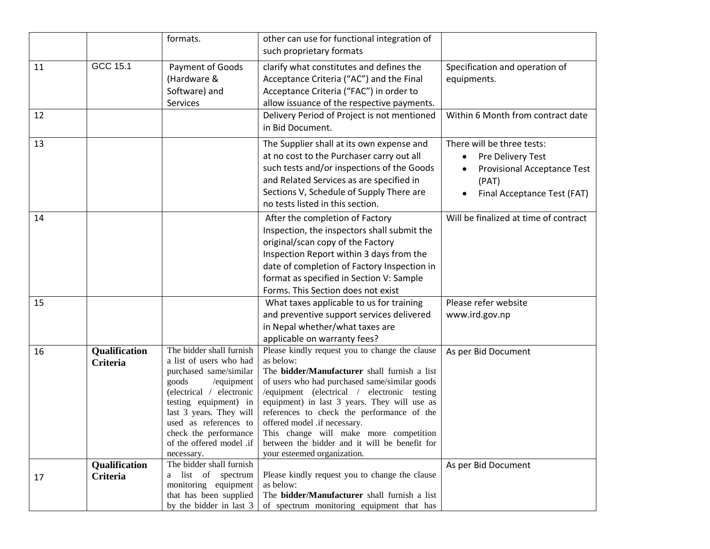|          |                                  | formats.                                                                                                                                                                                                                                                                         | other can use for functional integration of<br>such proprietary formats                                                                                                                                                                                                                                                                                                                                                                                             |                                                                                                                               |
|----------|----------------------------------|----------------------------------------------------------------------------------------------------------------------------------------------------------------------------------------------------------------------------------------------------------------------------------|---------------------------------------------------------------------------------------------------------------------------------------------------------------------------------------------------------------------------------------------------------------------------------------------------------------------------------------------------------------------------------------------------------------------------------------------------------------------|-------------------------------------------------------------------------------------------------------------------------------|
| 11<br>12 | GCC 15.1                         | Payment of Goods<br>(Hardware &<br>Software) and<br><b>Services</b>                                                                                                                                                                                                              | clarify what constitutes and defines the<br>Acceptance Criteria ("AC") and the Final<br>Acceptance Criteria ("FAC") in order to<br>allow issuance of the respective payments.<br>Delivery Period of Project is not mentioned                                                                                                                                                                                                                                        | Specification and operation of<br>equipments.<br>Within 6 Month from contract date                                            |
|          |                                  |                                                                                                                                                                                                                                                                                  | in Bid Document.                                                                                                                                                                                                                                                                                                                                                                                                                                                    |                                                                                                                               |
| 13       |                                  |                                                                                                                                                                                                                                                                                  | The Supplier shall at its own expense and<br>at no cost to the Purchaser carry out all<br>such tests and/or inspections of the Goods<br>and Related Services as are specified in<br>Sections V, Schedule of Supply There are<br>no tests listed in this section.                                                                                                                                                                                                    | There will be three tests:<br>Pre Delivery Test<br><b>Provisional Acceptance Test</b><br>(PAT)<br>Final Acceptance Test (FAT) |
| 14       |                                  |                                                                                                                                                                                                                                                                                  | After the completion of Factory<br>Inspection, the inspectors shall submit the<br>original/scan copy of the Factory<br>Inspection Report within 3 days from the<br>date of completion of Factory Inspection in<br>format as specified in Section V: Sample<br>Forms. This Section does not exist                                                                                                                                                                    | Will be finalized at time of contract                                                                                         |
| 15       |                                  |                                                                                                                                                                                                                                                                                  | What taxes applicable to us for training<br>and preventive support services delivered<br>in Nepal whether/what taxes are<br>applicable on warranty fees?                                                                                                                                                                                                                                                                                                            | Please refer website<br>www.ird.gov.np                                                                                        |
| 16       | Qualification<br><b>Criteria</b> | The bidder shall furnish<br>a list of users who had<br>purchased same/similar<br>goods<br>/equipment<br>(electrical / electronic<br>testing equipment) in<br>last 3 years. They will<br>used as references to<br>check the performance<br>of the offered model .if<br>necessary. | Please kindly request you to change the clause<br>as below:<br>The bidder/Manufacturer shall furnish a list<br>of users who had purchased same/similar goods<br>/equipment (electrical / electronic testing<br>equipment) in last 3 years. They will use as<br>references to check the performance of the<br>offered model .if necessary.<br>This change will make more competition<br>between the bidder and it will be benefit for<br>your esteemed organization. | As per Bid Document                                                                                                           |
| 17       | Qualification<br><b>Criteria</b> | The bidder shall furnish<br>a list of spectrum<br>monitoring equipment<br>that has been supplied<br>by the bidder in last 3                                                                                                                                                      | Please kindly request you to change the clause<br>as below:<br>The bidder/Manufacturer shall furnish a list<br>of spectrum monitoring equipment that has                                                                                                                                                                                                                                                                                                            | As per Bid Document                                                                                                           |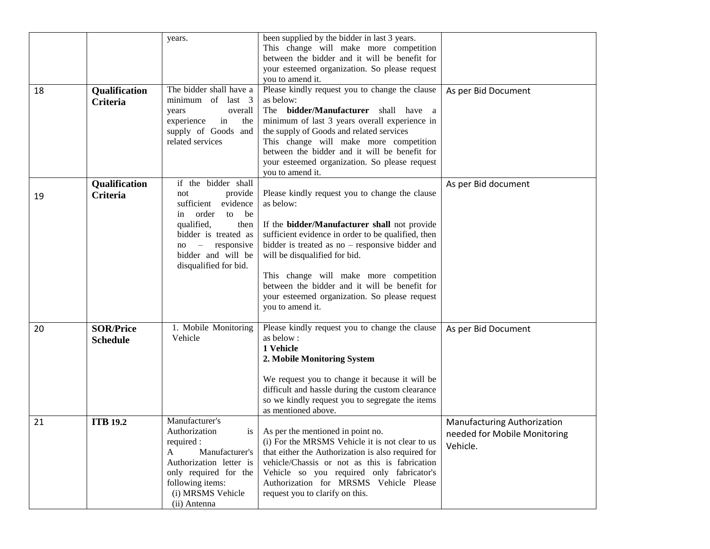| 18 | Qualification<br><b>Criteria</b>    | years.<br>The bidder shall have a<br>minimum of last 3<br>years<br>overall                                                                                                                                | been supplied by the bidder in last 3 years.<br>This change will make more competition<br>between the bidder and it will be benefit for<br>your esteemed organization. So please request<br>you to amend it.<br>Please kindly request you to change the clause<br>as below:<br>The <b>bidder/Manufacturer</b> shall have a                                                                                              | As per Bid Document                                                     |
|----|-------------------------------------|-----------------------------------------------------------------------------------------------------------------------------------------------------------------------------------------------------------|-------------------------------------------------------------------------------------------------------------------------------------------------------------------------------------------------------------------------------------------------------------------------------------------------------------------------------------------------------------------------------------------------------------------------|-------------------------------------------------------------------------|
|    |                                     | experience<br>in<br>the<br>supply of Goods and<br>related services                                                                                                                                        | minimum of last 3 years overall experience in<br>the supply of Goods and related services<br>This change will make more competition<br>between the bidder and it will be benefit for<br>your esteemed organization. So please request<br>you to amend it.                                                                                                                                                               |                                                                         |
| 19 | Qualification<br><b>Criteria</b>    | if the bidder shall<br>provide<br>not<br>sufficient<br>evidence<br>in order<br>to be<br>qualified,<br>then<br>bidder is treated as<br>responsive<br>$no -$<br>bidder and will be<br>disqualified for bid. | Please kindly request you to change the clause<br>as below:<br>If the bidder/Manufacturer shall not provide<br>sufficient evidence in order to be qualified, then<br>bidder is treated as $no$ – responsive bidder and<br>will be disqualified for bid.<br>This change will make more competition<br>between the bidder and it will be benefit for<br>your esteemed organization. So please request<br>you to amend it. | As per Bid document                                                     |
| 20 | <b>SOR/Price</b><br><b>Schedule</b> | 1. Mobile Monitoring<br>Vehicle                                                                                                                                                                           | Please kindly request you to change the clause<br>as below:<br>1 Vehicle<br>2. Mobile Monitoring System<br>We request you to change it because it will be<br>difficult and hassle during the custom clearance<br>so we kindly request you to segregate the items<br>as mentioned above.                                                                                                                                 | As per Bid Document                                                     |
| 21 | <b>ITB 19.2</b>                     | Manufacturer's<br>Authorization<br>required :<br>Manufacturer's<br>A<br>Authorization letter is<br>only required for the<br>following items:<br>(i) MRSMS Vehicle<br>(ii) Antenna                         | is $\vert$ As per the mentioned in point no.<br>(i) For the MRSMS Vehicle it is not clear to us<br>that either the Authorization is also required for<br>vehicle/Chassis or not as this is fabrication<br>Vehicle so you required only fabricator's<br>Authorization for MRSMS Vehicle Please<br>request you to clarify on this.                                                                                        | Manufacturing Authorization<br>needed for Mobile Monitoring<br>Vehicle. |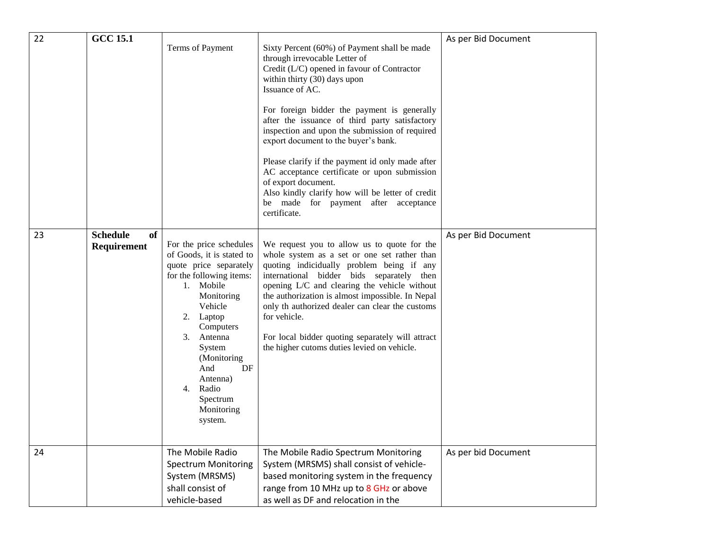| 22 | <b>GCC 15.1</b>                      | Terms of Payment                                                                                                                                                                                                                                                                                      | Sixty Percent (60%) of Payment shall be made<br>through irrevocable Letter of<br>Credit (L/C) opened in favour of Contractor<br>within thirty (30) days upon<br>Issuance of AC.<br>For foreign bidder the payment is generally<br>after the issuance of third party satisfactory<br>inspection and upon the submission of required<br>export document to the buyer's bank.<br>Please clarify if the payment id only made after<br>AC acceptance certificate or upon submission<br>of export document.<br>Also kindly clarify how will be letter of credit<br>be made for payment after acceptance<br>certificate. | As per Bid Document |
|----|--------------------------------------|-------------------------------------------------------------------------------------------------------------------------------------------------------------------------------------------------------------------------------------------------------------------------------------------------------|-------------------------------------------------------------------------------------------------------------------------------------------------------------------------------------------------------------------------------------------------------------------------------------------------------------------------------------------------------------------------------------------------------------------------------------------------------------------------------------------------------------------------------------------------------------------------------------------------------------------|---------------------|
| 23 | <b>Schedule</b><br>of<br>Requirement | For the price schedules<br>of Goods, it is stated to<br>quote price separately<br>for the following items:<br>1. Mobile<br>Monitoring<br>Vehicle<br>Laptop<br>2.<br>Computers<br>3.<br>Antenna<br>System<br>(Monitoring)<br>And<br>DF<br>Antenna)<br>Radio<br>4.<br>Spectrum<br>Monitoring<br>system. | We request you to allow us to quote for the<br>whole system as a set or one set rather than<br>quoting indicidually problem being if any<br>international bidder bids separately then<br>opening L/C and clearing the vehicle without<br>the authorization is almost impossible. In Nepal<br>only th authorized dealer can clear the customs<br>for vehicle.<br>For local bidder quoting separately will attract<br>the higher cutoms duties levied on vehicle.                                                                                                                                                   | As per Bid Document |
| 24 |                                      | The Mobile Radio<br><b>Spectrum Monitoring</b><br>System (MRSMS)<br>shall consist of<br>vehicle-based                                                                                                                                                                                                 | The Mobile Radio Spectrum Monitoring<br>System (MRSMS) shall consist of vehicle-<br>based monitoring system in the frequency<br>range from 10 MHz up to 8 GHz or above<br>as well as DF and relocation in the                                                                                                                                                                                                                                                                                                                                                                                                     | As per bid Document |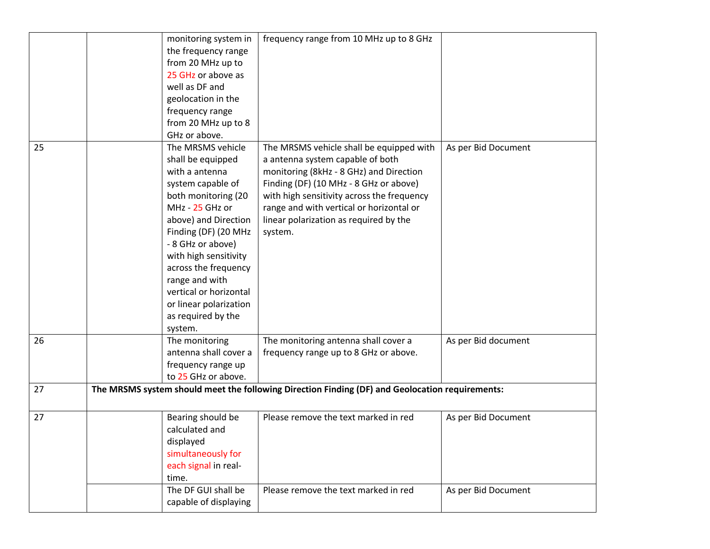|    | monitoring system in   | frequency range from 10 MHz up to 8 GHz                                                         |                     |
|----|------------------------|-------------------------------------------------------------------------------------------------|---------------------|
|    | the frequency range    |                                                                                                 |                     |
|    | from 20 MHz up to      |                                                                                                 |                     |
|    | 25 GHz or above as     |                                                                                                 |                     |
|    | well as DF and         |                                                                                                 |                     |
|    | geolocation in the     |                                                                                                 |                     |
|    | frequency range        |                                                                                                 |                     |
|    | from 20 MHz up to 8    |                                                                                                 |                     |
|    | GHz or above.          |                                                                                                 |                     |
| 25 | The MRSMS vehicle      | The MRSMS vehicle shall be equipped with                                                        | As per Bid Document |
|    | shall be equipped      | a antenna system capable of both                                                                |                     |
|    | with a antenna         | monitoring (8kHz - 8 GHz) and Direction                                                         |                     |
|    | system capable of      | Finding (DF) (10 MHz - 8 GHz or above)                                                          |                     |
|    | both monitoring (20    | with high sensitivity across the frequency                                                      |                     |
|    | MHz - 25 GHz or        | range and with vertical or horizontal or                                                        |                     |
|    | above) and Direction   | linear polarization as required by the                                                          |                     |
|    | Finding (DF) (20 MHz   | system.                                                                                         |                     |
|    | - 8 GHz or above)      |                                                                                                 |                     |
|    | with high sensitivity  |                                                                                                 |                     |
|    | across the frequency   |                                                                                                 |                     |
|    | range and with         |                                                                                                 |                     |
|    | vertical or horizontal |                                                                                                 |                     |
|    | or linear polarization |                                                                                                 |                     |
|    | as required by the     |                                                                                                 |                     |
|    | system.                |                                                                                                 |                     |
| 26 | The monitoring         | The monitoring antenna shall cover a                                                            | As per Bid document |
|    | antenna shall cover a  | frequency range up to 8 GHz or above.                                                           |                     |
|    | frequency range up     |                                                                                                 |                     |
|    | to 25 GHz or above.    |                                                                                                 |                     |
| 27 |                        | The MRSMS system should meet the following Direction Finding (DF) and Geolocation requirements: |                     |
|    |                        |                                                                                                 |                     |
| 27 | Bearing should be      | Please remove the text marked in red                                                            | As per Bid Document |
|    | calculated and         |                                                                                                 |                     |
|    | displayed              |                                                                                                 |                     |
|    | simultaneously for     |                                                                                                 |                     |
|    | each signal in real-   |                                                                                                 |                     |
|    | time.                  |                                                                                                 |                     |
|    | The DF GUI shall be    | Please remove the text marked in red                                                            | As per Bid Document |
|    | capable of displaying  |                                                                                                 |                     |
|    |                        |                                                                                                 |                     |